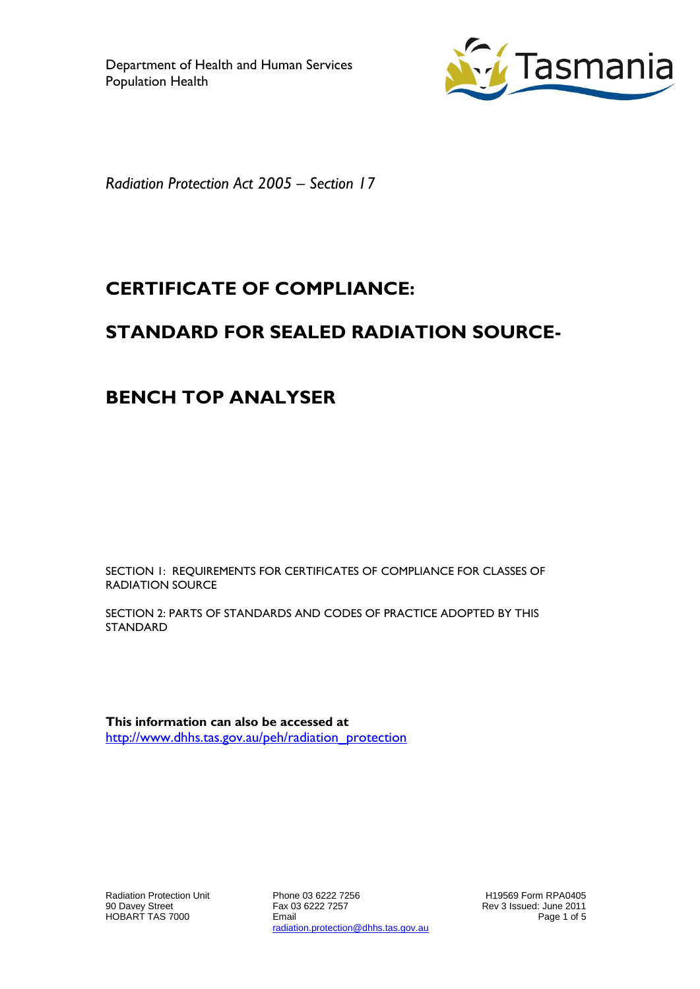

*Radiation Protection Act 2005 – Section 17*

# **CERTIFICATE OF COMPLIANCE:**

# **STANDARD FOR SEALED RADIATION SOURCE-**

## **BENCH TOP ANALYSER**

SECTION 1: REQUIREMENTS FOR CERTIFICATES OF COMPLIANCE FOR CLASSES OF RADIATION SOURCE

SECTION 2: PARTS OF STANDARDS AND CODES OF PRACTICE ADOPTED BY THIS **STANDARD** 

**This information can also be accessed at** [http://www.dhhs.tas.gov.au/peh/radiation\\_protection](http://www.dhhs.tas.gov.au/peh/radiation_protection)

Radiation Protection Unit 90 Davey Street HOBART TAS 7000

Phone 03 6222 7256 Fax 03 6222 7257 Email radiation.protection@dhhs.tas.gov.au

H19569 Form RPA0405 Rev 3 Issued: June 2011 Page 1 of 5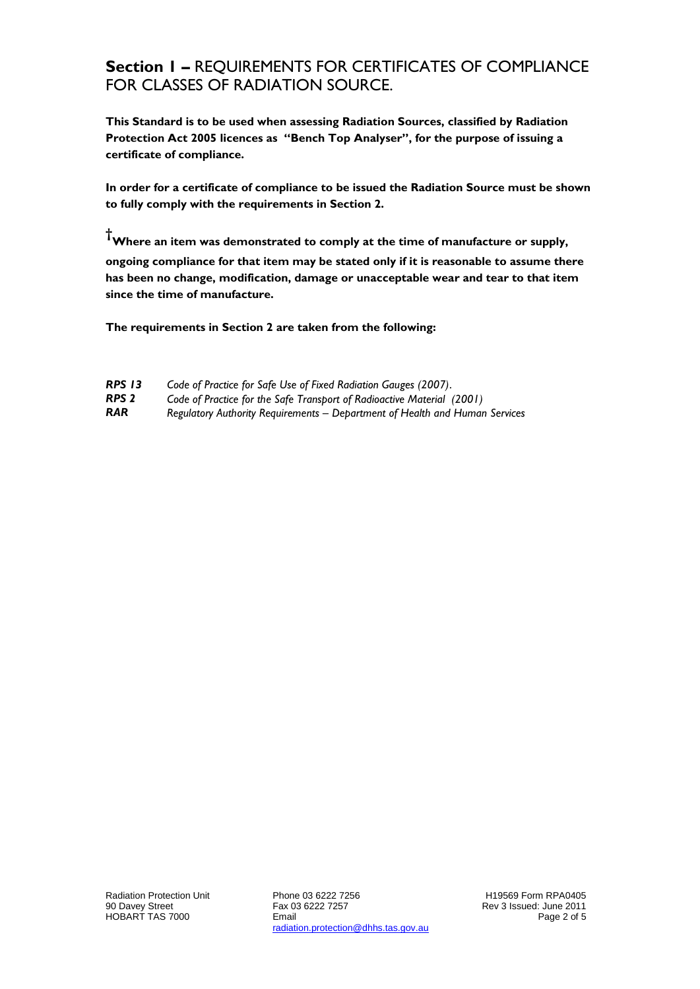#### **Section 1 –** REQUIREMENTS FOR CERTIFICATES OF COMPLIANCE FOR CLASSES OF RADIATION SOURCE.

**This Standard is to be used when assessing Radiation Sources, classified by Radiation Protection Act 2005 licences as "Bench Top Analyser", for the purpose of issuing a certificate of compliance.**

**In order for a certificate of compliance to be issued the Radiation Source must be shown to fully comply with the requirements in Section 2.**

**†Where an item was demonstrated to comply at the time of manufacture or supply, ongoing compliance for that item may be stated only if it is reasonable to assume there has been no change, modification, damage or unacceptable wear and tear to that item since the time of manufacture.**

**The requirements in Section 2 are taken from the following:**

| <b>RPS 13</b> |  |  | Code of Practice for Safe Use of Fixed Radiation Gauges (2007). |  |
|---------------|--|--|-----------------------------------------------------------------|--|
| ----          |  |  |                                                                 |  |

*RPS 2 Code of Practice for the Safe Transport of Radioactive Material (2001)*

*RAR Regulatory Authority Requirements – Department of Health and Human Services*

Phone 03 6222 7256 Fax 03 6222 7257 Email radiation.protection@dhhs.tas.gov.au

H19569 Form RPA0405 Rev 3 Issued: June 2011 Page 2 of 5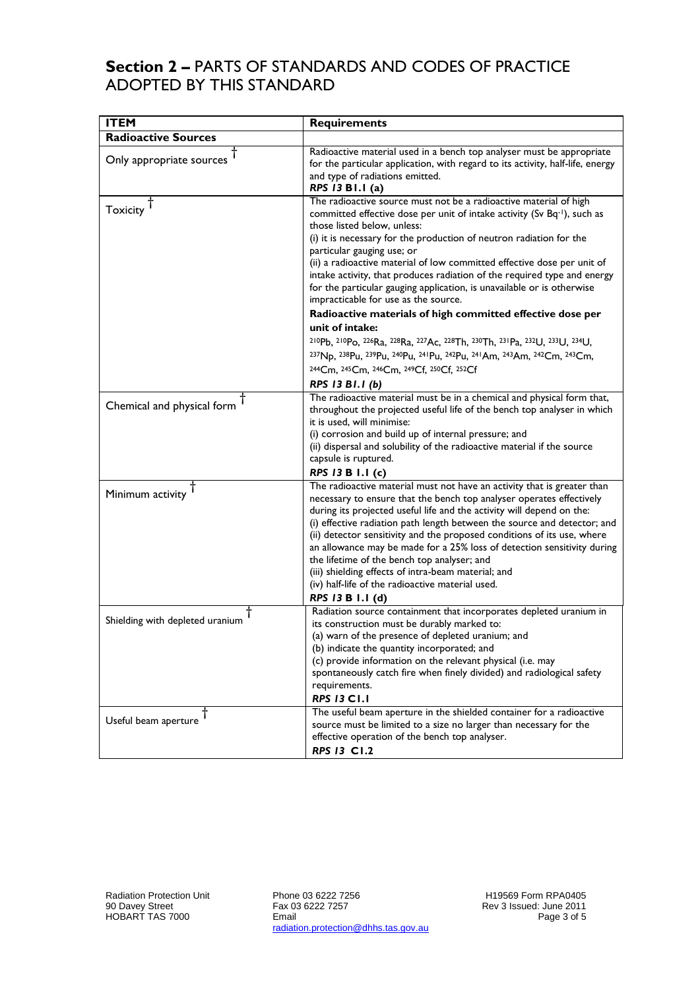### **Section 2 –** PARTS OF STANDARDS AND CODES OF PRACTICE ADOPTED BY THIS STANDARD

| <b>ITEM</b>                     | <b>Requirements</b>                                                                                                                                                                                                                                                                                                                                                                                                                                                                                                                                                                                                                                                                                                                                                                                                                                             |
|---------------------------------|-----------------------------------------------------------------------------------------------------------------------------------------------------------------------------------------------------------------------------------------------------------------------------------------------------------------------------------------------------------------------------------------------------------------------------------------------------------------------------------------------------------------------------------------------------------------------------------------------------------------------------------------------------------------------------------------------------------------------------------------------------------------------------------------------------------------------------------------------------------------|
| <b>Radioactive Sources</b>      |                                                                                                                                                                                                                                                                                                                                                                                                                                                                                                                                                                                                                                                                                                                                                                                                                                                                 |
| Only appropriate sources        | Radioactive material used in a bench top analyser must be appropriate<br>for the particular application, with regard to its activity, half-life, energy<br>and type of radiations emitted.<br>RPS 13 B1.1 (a)                                                                                                                                                                                                                                                                                                                                                                                                                                                                                                                                                                                                                                                   |
| Toxicity                        | The radioactive source must not be a radioactive material of high<br>committed effective dose per unit of intake activity (Sv Bq-1), such as<br>those listed below, unless:<br>(i) it is necessary for the production of neutron radiation for the<br>particular gauging use; or<br>(ii) a radioactive material of low committed effective dose per unit of<br>intake activity, that produces radiation of the required type and energy<br>for the particular gauging application, is unavailable or is otherwise<br>impracticable for use as the source.<br>Radioactive materials of high committed effective dose per<br>unit of intake:<br>210Pb, 210Po, 226Ra, 228Ra, 227Ac, 228Th, 230Th, 231Pa, 232U, 233U, 234U,<br>237Np, 238Pu, 239Pu, 240Pu, 241Pu, 242Pu, 241Am, 243Am, 242Cm, 243Cm,<br>244Cm, 245Cm, 246Cm, 249Cf, 250Cf, 252Cf<br>RPS 13 B1.1 (b) |
| Chemical and physical form $†$  | The radioactive material must be in a chemical and physical form that,<br>throughout the projected useful life of the bench top analyser in which<br>it is used, will minimise:<br>(i) corrosion and build up of internal pressure; and<br>(ii) dispersal and solubility of the radioactive material if the source<br>capsule is ruptured.<br>RPS 13 B 1.1 (c)                                                                                                                                                                                                                                                                                                                                                                                                                                                                                                  |
| Minimum activity $T$            | The radioactive material must not have an activity that is greater than<br>necessary to ensure that the bench top analyser operates effectively<br>during its projected useful life and the activity will depend on the:<br>(i) effective radiation path length between the source and detector; and<br>(ii) detector sensitivity and the proposed conditions of its use, where<br>an allowance may be made for a 25% loss of detection sensitivity during<br>the lifetime of the bench top analyser; and<br>(iii) shielding effects of intra-beam material; and<br>(iv) half-life of the radioactive material used.<br>RPS 13 B 1.1 (d)                                                                                                                                                                                                                        |
| Shielding with depleted uranium | Radiation source containment that incorporates depleted uranium in<br>its construction must be durably marked to:<br>(a) warn of the presence of depleted uranium; and<br>(b) indicate the quantity incorporated; and<br>(c) provide information on the relevant physical (i.e. may<br>spontaneously catch fire when finely divided) and radiological safety<br>requirements.<br><b>RPS 13 C1.1</b>                                                                                                                                                                                                                                                                                                                                                                                                                                                             |
| Useful beam aperture            | The useful beam aperture in the shielded container for a radioactive<br>source must be limited to a size no larger than necessary for the<br>effective operation of the bench top analyser.<br><b>RPS 13 C1.2</b>                                                                                                                                                                                                                                                                                                                                                                                                                                                                                                                                                                                                                                               |

Phone 03 6222 7256 Fax 03 6222 7257 Email radiation.protection@dhhs.tas.gov.au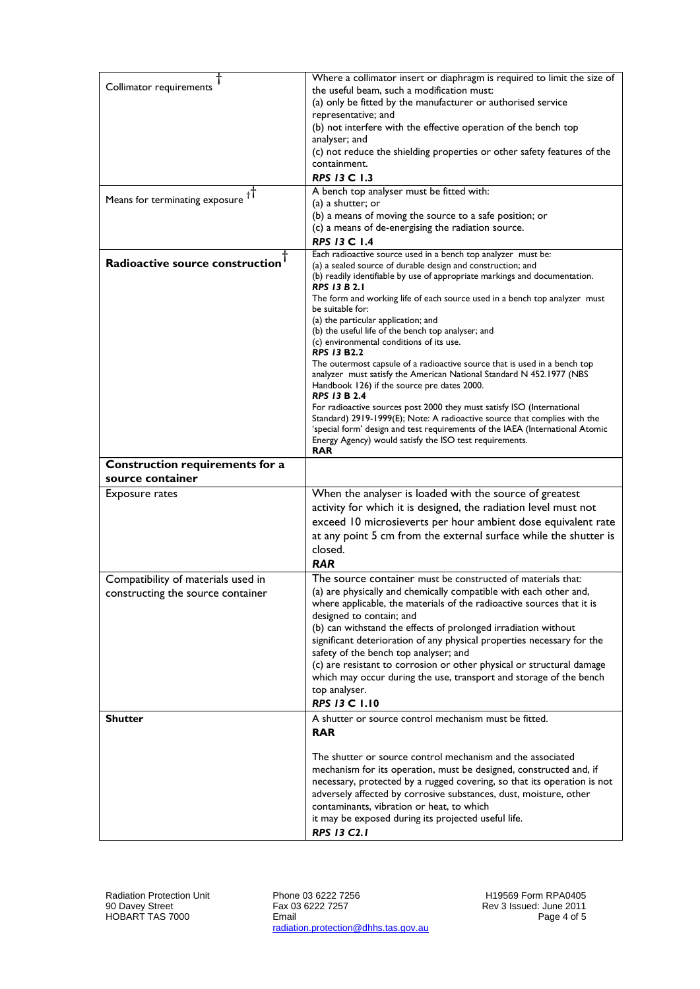| Collimator requirements                             | Where a collimator insert or diaphragm is required to limit the size of                                                                                    |
|-----------------------------------------------------|------------------------------------------------------------------------------------------------------------------------------------------------------------|
|                                                     | the useful beam, such a modification must:<br>(a) only be fitted by the manufacturer or authorised service                                                 |
|                                                     | representative; and                                                                                                                                        |
|                                                     | (b) not interfere with the effective operation of the bench top                                                                                            |
|                                                     | analyser; and                                                                                                                                              |
|                                                     | (c) not reduce the shielding properties or other safety features of the                                                                                    |
|                                                     | containment.<br>RPS 13 C 1.3                                                                                                                               |
|                                                     | A bench top analyser must be fitted with:                                                                                                                  |
| Means for terminating exposure $\dagger$            | (a) a shutter; or                                                                                                                                          |
|                                                     | (b) a means of moving the source to a safe position; or                                                                                                    |
|                                                     | (c) a means of de-energising the radiation source.                                                                                                         |
|                                                     | <b>RPS 13 C 1.4</b>                                                                                                                                        |
| Radioactive source construction                     | Each radioactive source used in a bench top analyzer must be:<br>(a) a sealed source of durable design and construction; and                               |
|                                                     | (b) readily identifiable by use of appropriate markings and documentation.                                                                                 |
|                                                     | <b>RPS 13 B 2.1</b><br>The form and working life of each source used in a bench top analyzer must                                                          |
|                                                     | be suitable for:                                                                                                                                           |
|                                                     | (a) the particular application; and                                                                                                                        |
|                                                     | (b) the useful life of the bench top analyser; and<br>(c) environmental conditions of its use.                                                             |
|                                                     | <b>RPS 13 B2.2</b>                                                                                                                                         |
|                                                     | The outermost capsule of a radioactive source that is used in a bench top                                                                                  |
|                                                     | analyzer must satisfy the American National Standard N 452.1977 (NBS<br>Handbook 126) if the source pre dates 2000.                                        |
|                                                     | <b>RPS 13 B 2.4</b>                                                                                                                                        |
|                                                     | For radioactive sources post 2000 they must satisfy ISO (International                                                                                     |
|                                                     | Standard) 2919-1999(E); Note: A radioactive source that complies with the<br>'special form' design and test requirements of the IAEA (International Atomic |
|                                                     | Energy Agency) would satisfy the ISO test requirements.                                                                                                    |
|                                                     | <b>RAR</b>                                                                                                                                                 |
| Construction requirements for a<br>source container |                                                                                                                                                            |
| <b>Exposure rates</b>                               | When the analyser is loaded with the source of greatest                                                                                                    |
|                                                     | activity for which it is designed, the radiation level must not                                                                                            |
|                                                     | exceed 10 microsieverts per hour ambient dose equivalent rate                                                                                              |
|                                                     | at any point 5 cm from the external surface while the shutter is                                                                                           |
|                                                     | closed.                                                                                                                                                    |
|                                                     | <b>RAR</b>                                                                                                                                                 |
| Compatibility of materials used in                  | The source container must be constructed of materials that:                                                                                                |
| constructing the source container                   | (a) are physically and chemically compatible with each other and,<br>where applicable, the materials of the radioactive sources that it is                 |
|                                                     | designed to contain; and                                                                                                                                   |
|                                                     | (b) can withstand the effects of prolonged irradiation without                                                                                             |
|                                                     | significant deterioration of any physical properties necessary for the                                                                                     |
|                                                     | safety of the bench top analyser; and<br>(c) are resistant to corrosion or other physical or structural damage                                             |
|                                                     | which may occur during the use, transport and storage of the bench                                                                                         |
|                                                     | top analyser.                                                                                                                                              |
|                                                     | <b>RPS 13 C 1.10</b>                                                                                                                                       |
| <b>Shutter</b>                                      | A shutter or source control mechanism must be fitted.                                                                                                      |
|                                                     | <b>RAR</b>                                                                                                                                                 |
|                                                     | The shutter or source control mechanism and the associated                                                                                                 |
|                                                     | mechanism for its operation, must be designed, constructed and, if                                                                                         |
|                                                     | necessary, protected by a rugged covering, so that its operation is not                                                                                    |
|                                                     | adversely affected by corrosive substances, dust, moisture, other                                                                                          |
|                                                     | contaminants, vibration or heat, to which                                                                                                                  |
|                                                     |                                                                                                                                                            |
|                                                     | it may be exposed during its projected useful life.<br><b>RPS 13 C2.1</b>                                                                                  |

Phone 03 6222 7256 Fax 03 6222 7257 Email radiation.protection@dhhs.tas.gov.au

H19569 Form RPA0405 Rev 3 Issued: June 2011 Page 4 of 5